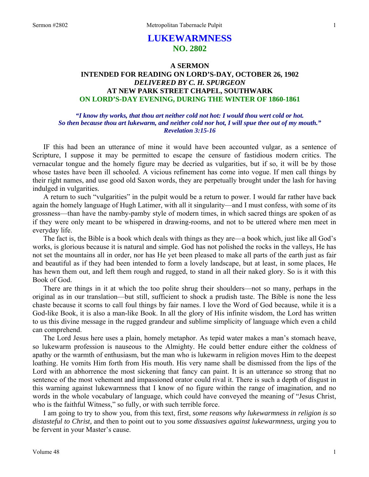# **LUKEWARMNESS NO. 2802**

## **A SERMON INTENDED FOR READING ON LORD'S-DAY, OCTOBER 26, 1902**  *DELIVERED BY C. H. SPURGEON*  **AT NEW PARK STREET CHAPEL, SOUTHWARK ON LORD'S-DAY EVENING, DURING THE WINTER OF 1860-1861**

*"I know thy works, that thou art neither cold not hot: I would thou wert cold or hot. So then because thou art lukewarm, and neither cold nor hot, I will spue thee out of my mouth." Revelation 3:15-16* 

IF this had been an utterance of mine it would have been accounted vulgar, as a sentence of Scripture, I suppose it may be permitted to escape the censure of fastidious modern critics. The vernacular tongue and the homely figure may be decried as vulgarities, but if so, it will be by those whose tastes have been ill schooled. A vicious refinement has come into vogue. If men call things by their right names, and use good old Saxon words, they are perpetually brought under the lash for having indulged in vulgarities.

A return to such "vulgarities" in the pulpit would be a return to power. I would far rather have back again the homely language of Hugh Latimer, with all it singularity—and I must confess, with some of its grossness—than have the namby-pamby style of modern times, in which sacred things are spoken of as if they were only meant to be whispered in drawing-rooms, and not to be uttered where men meet in everyday life.

The fact is, the Bible is a book which deals with things as they are—a book which, just like all God's works, is glorious because it is natural and simple. God has not polished the rocks in the valleys, He has not set the mountains all in order, nor has He yet been pleased to make all parts of the earth just as fair and beautiful as if they had been intended to form a lovely landscape, but at least, in some places, He has hewn them out, and left them rough and rugged, to stand in all their naked glory. So is it with this Book of God.

There are things in it at which the too polite shrug their shoulders—not so many, perhaps in the original as in our translation—but still, sufficient to shock a prudish taste. The Bible is none the less chaste because it scorns to call foul things by fair names. I love the Word of God because, while it is a God-like Book, it is also a man-like Book. In all the glory of His infinite wisdom, the Lord has written to us this divine message in the rugged grandeur and sublime simplicity of language which even a child can comprehend.

The Lord Jesus here uses a plain, homely metaphor. As tepid water makes a man's stomach heave, so lukewarm profession is nauseous to the Almighty. He could better endure either the coldness of apathy or the warmth of enthusiasm, but the man who is lukewarm in religion moves Him to the deepest loathing. He vomits Him forth from His mouth. His very name shall be dismissed from the lips of the Lord with an abhorrence the most sickening that fancy can paint. It is an utterance so strong that no sentence of the most vehement and impassioned orator could rival it. There is such a depth of disgust in this warning against lukewarmness that I know of no figure within the range of imagination, and no words in the whole vocabulary of language, which could have conveyed the meaning of "Jesus Christ, who is the faithful Witness," so fully, or with such terrible force.

I am going to try to show you, from this text, first, *some reasons why lukewarmness in religion is so distasteful to Christ,* and then to point out to you *some dissuasives against lukewarmness,* urging you to be fervent in your Master's cause.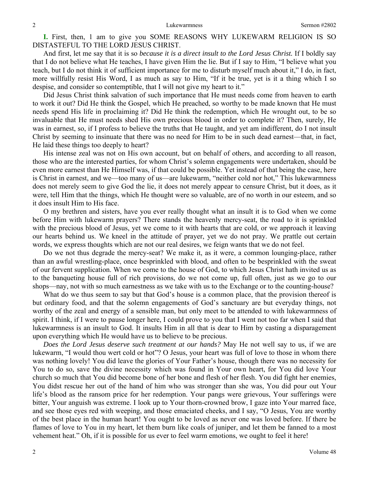**I.** First, then, 1 am to give you SOME REASONS WHY LUKEWARM RELIGION IS SO DISTASTEFUL TO THE LORD JESUS CHRIST.

And first, let me say that it is so *because it is a direct insult to the Lord Jesus Christ.* If I boldly say that I do not believe what He teaches, I have given Him the lie. But if I say to Him, "I believe what you teach, but I do not think it of sufficient importance for me to disturb myself much about it," I do, in fact, more willfully resist His Word, I as much as say to Him, "If it be true, yet is it a thing which I so despise, and consider so contemptible, that I will not give my heart to it."

Did Jesus Christ think salvation of such importance that He must needs come from heaven to earth to work it out? Did He think the Gospel, which He preached, so worthy to be made known that He must needs spend His life in proclaiming it? Did He think the redemption, which He wrought out, to be so invaluable that He must needs shed His own precious blood in order to complete it? Then, surely, He was in earnest, so, if I profess to believe the truths that He taught, and yet am indifferent, do I not insult Christ by seeming to insinuate that there was no need for Him to be in such dead earnest—that, in fact, He laid these things too deeply to heart?

His intense zeal was not on His own account, but on behalf of others, and according to all reason, those who are the interested parties, for whom Christ's solemn engagements were undertaken, should be even more earnest than He Himself was, if that could be possible. Yet instead of that being the case, here is Christ in earnest, and we—too many of us—are lukewarm, "neither cold nor hot," This lukewarmness does not merely seem to give God the lie, it does not merely appear to censure Christ, but it does, as it were, tell Him that the things, which He thought were so valuable, are of no worth in our esteem, and so it does insult Him to His face.

O my brethren and sisters, have you ever really thought what an insult it is to God when we come before Him with lukewarm prayers? There stands the heavenly mercy-seat, the road to it is sprinkled with the precious blood of Jesus, yet we come to it with hearts that are cold, or we approach it leaving our hearts behind us. We kneel in the attitude of prayer, yet we do not pray. We prattle out certain words, we express thoughts which are not our real desires, we feign wants that we do not feel.

Do we not thus degrade the mercy-seat? We make it, as it were, a common lounging-place, rather than an awful wrestling-place, once besprinkled with blood, and often to be besprinkled with the sweat of our fervent supplication. When we come to the house of God, to which Jesus Christ hath invited us as to the banqueting house full of rich provisions, do we not come up, full often, just as we go to our shops—nay, not with so much earnestness as we take with us to the Exchange or to the counting-house?

What do we thus seem to say but that God's house is a common place, that the provision thereof is but ordinary food, and that the solemn engagements of God's sanctuary are but everyday things, not worthy of the zeal and energy of a sensible man, but only meet to be attended to with lukewarmness of spirit. I think, if I were to pause longer here, I could prove to you that I went not too far when I said that lukewarmness is an insult to God. It insults Him in all that is dear to Him by casting a disparagement upon everything which He would have us to believe to be precious.

*Does the Lord Jesus deserve such treatment at our hands?* May He not well say to us, if we are lukewarm, "I would thou wert cold or hot"? O Jesus, your heart was full of love to those in whom there was nothing lovely! You did leave the glories of Your Father's house, though there was no necessity for You to do so, save the divine necessity which was found in Your own heart, for You did love Your church so much that You did become bone of her bone and flesh of her flesh. You did fight her enemies, You didst rescue her out of the hand of him who was stronger than she was, You did pour out Your life's blood as the ransom price for her redemption. Your pangs were grievous, Your sufferings were bitter, Your anguish was extreme. I look up to Your thorn-crowned brow, I gaze into Your marred face, and see those eyes red with weeping, and those emaciated cheeks, and I say, "O Jesus, You are worthy of the best place in the human heart! You ought to be loved as never one was loved before. If there be flames of love to You in my heart, let them burn like coals of juniper, and let them be fanned to a most vehement heat." Oh, if it is possible for us ever to feel warm emotions, we ought to feel it here!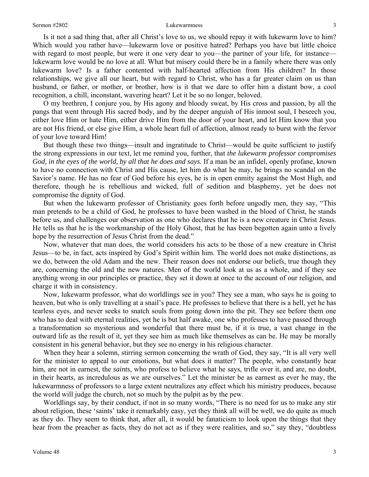Is it not a sad thing that, after all Christ's love to us, we should repay it with lukewarm love to him? Which would you rather have—lukewarm love or positive hatred? Perhaps you have but little choice with regard to most people, but were it one very dear to you—the partner of your life, for instance lukewarm love would be no love at all. What but misery could there be in a family where there was only lukewarm love? Is a father contented with half-hearted affection from His children? In those relationships, we give all our heart, but with regard to Christ, who has a far greater claim on us than husband, or father, or mother, or brother, how is it that we dare to offer him a distant bow, a cool recognition, a chill, inconstant, wavering heart? Let it be so no longer, beloved.

O my brethren, I conjure you, by His agony and bloody sweat, by His cross and passion, by all the pangs that went through His sacred body, and by the deeper anguish of His inmost soul, I beseech you, either love Him or hate Him, either drive Him from the door of your heart, and let Him know that you are not His friend, or else give Him, a whole heart full of affection, almost ready to burst with the fervor of your love toward Him!

But though these two things—insult and ingratitude to Christ—would be quite sufficient to justify the strong expressions in our text, let me remind you, further, that *the lukewarm professor compromises God, in the eyes of the world, by all that he does and says.* If a man be an infidel, openly profane, known to have no connection with Christ and His cause, let him do what he may, he brings no scandal on the Savior's name. He has no fear of God before his eyes, he is in open enmity against the Most High, and therefore, though he is rebellious and wicked, full of sedition and blasphemy, yet he does not compromise the dignity of God.

But when the lukewarm professor of Christianity goes forth before ungodly men, they say, "This man pretends to be a child of God, he professes to have been washed in the blood of Christ, he stands before us, and challenges our observation as one who declares that he is a new creature in Christ Jesus. He tells us that he is the workmanship of the Holy Ghost, that he has been begotten again unto a lively hope by the resurrection of Jesus Christ from the dead."

Now, whatever that man does, the world considers his acts to be those of a new creature in Christ Jesus—to be, in fact, acts inspired by God's Spirit within him. The world does not make distinctions, as we do, between the old Adam and the new. Their reason does not endorse our beliefs, true though they are, concerning the old and the new natures. Men of the world look at us as a whole, and if they see anything wrong in our principles or practice, they set it down at once to the account of our religion, and charge it with in consistency.

Now, lukewarm professor, what do worldlings see in you? They see a man, who says he is going to heaven, but who is only travelling at a snail's pace. He professes to believe that there is a hell, yet he has tearless eyes, and never seeks to snatch souls from going down into the pit. They see before them one who has to deal with eternal realities, yet he is but half awake, one who professes to have passed through a transformation so mysterious and wonderful that there must be, if it is true, a vast change in the outward life as the result of it, yet they see him as much like themselves as can be. He may be morally consistent in his general behavior, but they see no energy in his religious character.

When they hear a solemn, stirring sermon concerning the wrath of God, they say, "It is all very well for the minister to appeal to our emotions, but what does it matter? The people, who constantly hear him, are not in earnest, the *saints*, who profess to believe what he says, trifle over it, and are, no doubt, in their hearts, as incredulous as we are ourselves." Let the minister be as earnest as ever he may, the lukewarmness of professors to a large extent neutralizes any effect which his ministry produces, because the world will judge the church, not so much by the pulpit as by the pew.

Worldlings say, by their conduct, if not in so many words, "There is no need for us to make any stir about religion, these 'saints' take it remarkably easy, yet they think all will be well, we do quite as much as they do. They seem to think that, after all, it would be fanaticism to look upon the things that they hear from the preacher as facts, they do not act as if they were realities, and so," say they, "doubtless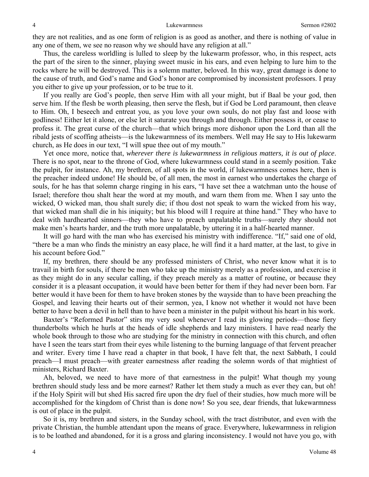they are not realities, and as one form of religion is as good as another, and there is nothing of value in any one of them, we see no reason why we should have any religion at all."

Thus, the careless worldling is lulled to sleep by the lukewarm professor, who, in this respect, acts the part of the siren to the sinner, playing sweet music in his ears, and even helping to lure him to the rocks where he will be destroyed. This is a solemn matter, beloved. In this way, great damage is done to the cause of truth, and God's name and God's honor are compromised by inconsistent professors. I pray you either to give up your profession, or to be true to it.

If you really are God's people, then serve Him with all your might, but if Baal be your god, then serve him. If the flesh be worth pleasing, then serve the flesh, but if God be Lord paramount, then cleave to Him. Oh, I beseech and entreat you, as you love your own souls, do not play fast and loose with godliness! Either let it alone, or else let it saturate you through and through. Either possess it, or cease to profess it. The great curse of the church—that which brings more dishonor upon the Lord than all the ribald jests of scoffing atheists—is the lukewarmness of its members. Well may He say to His lukewarm church, as He does in our text, "I will spue thee out of my mouth."

Yet once more, notice that, *wherever there is lukewarmness in religious matters, it is out of place*. There is no spot, near to the throne of God, where lukewarmness could stand in a seemly position. Take the pulpit, for instance. Ah, my brethren, of all spots in the world, if lukewarmness comes here, then is the preacher indeed undone! He should be, of all men, the most in earnest who undertakes the charge of souls, for he has that solemn charge ringing in his ears, "I have set thee a watchman unto the house of Israel; therefore thou shalt hear the word at my mouth, and warn them from me. When I say unto the wicked, O wicked man, thou shalt surely die; if thou dost not speak to warn the wicked from his way, that wicked man shall die in his iniquity; but his blood will I require at thine hand." They who have to deal with hardhearted sinners—they who have to preach unpalatable truths—surely *they* should not make men's hearts harder, and the truth more unpalatable, by uttering it in a half-hearted manner.

It will go hard with the man who has exercised his ministry with indifference. "If," said one of old, "there be a man who finds the ministry an easy place, he will find it a hard matter, at the last, to give in his account before God."

If, my brethren, there should be any professed ministers of Christ, who never know what it is to travail in birth for souls, if there be men who take up the ministry merely as a profession, and exercise it as they might do in any secular calling, if they preach merely as a matter of routine, or because they consider it is a pleasant occupation, it would have been better for them if they had never been born. Far better would it have been for them to have broken stones by the wayside than to have been preaching the Gospel, and leaving their hearts out of their sermon, yea, I know not whether it would not have been better to have been a devil in hell than to have been a minister in the pulpit without his heart in his work.

Baxter's "Reformed Pastor" stirs my very soul whenever I read its glowing periods—those fiery thunderbolts which he hurls at the heads of idle shepherds and lazy ministers. I have read nearly the whole book through to those who are studying for the ministry in connection with this church, and often have I seen the tears start from their eyes while listening to the burning language of that fervent preacher and writer. Every time I have read a chapter in that book, I have felt that, the next Sabbath, I could preach—I must preach—with greater earnestness after reading the solemn words of that mightiest of ministers, Richard Baxter.

Ah, beloved, we need to have more of that earnestness in the pulpit! What though my young brethren should study less and be more earnest? Rather let them study a much as ever they can, but oh! if the Holy Spirit will but shed His sacred fire upon the dry fuel of their studies, how much more will be accomplished for the kingdom of Christ than is done now! So you see, dear friends, that lukewarmness is out of place in the pulpit.

So it is, my brethren and sisters, in the Sunday school, with the tract distributor, and even with the private Christian, the humble attendant upon the means of grace. Everywhere, lukewarmness in religion is to be loathed and abandoned, for it is a gross and glaring inconsistency. I would not have you go, with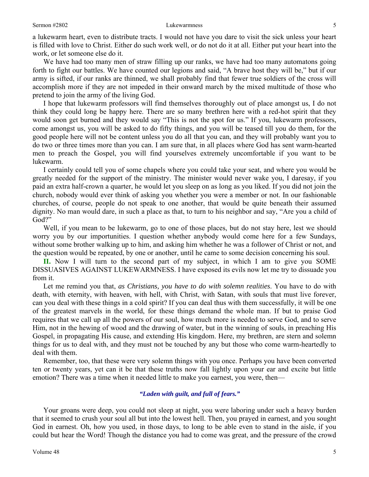#### Sermon #2802 **Sermon #2802** Lukewarmness 5

a lukewarm heart, even to distribute tracts. I would not have you dare to visit the sick unless your heart is filled with love to Christ. Either do such work well, or do not do it at all. Either put your heart into the work, or let someone else do it.

We have had too many men of straw filling up our ranks, we have had too many automatons going forth to fight our battles. We have counted our legions and said, "A brave host they will be," but if our army is sifted, if our ranks are thinned, we shall probably find that fewer true soldiers of the cross will accomplish more if they are not impeded in their onward march by the mixed multitude of those who pretend to join the army of the living God.

I hope that lukewarm professors will find themselves thoroughly out of place amongst us, I do not think they could long be happy here. There are so many brethren here with a red-hot spirit that they would soon get burned and they would say "This is not the spot for us." If you, lukewarm professors, come amongst us, you will be asked to do fifty things, and you will be teased till you do them, for the good people here will not be content unless you do all that you can, and they will probably want you to do two or three times more than you can. I am sure that, in all places where God has sent warm-hearted men to preach the Gospel, you will find yourselves extremely uncomfortable if you want to be lukewarm.

I certainly could tell you of some chapels where you could take your seat, and where you would be greatly needed for the support of the ministry. The minister would never wake you, I daresay, if you paid an extra half-crown a quarter, he would let you sleep on as long as you liked. If you did not join the church, nobody would ever think of asking you whether you were a member or not. In our fashionable churches, of course, people do not speak to one another, that would be quite beneath their assumed dignity. No man would dare, in such a place as that, to turn to his neighbor and say, "Are you a child of God?"

Well, if you mean to be lukewarm, go to one of those places, but do not stay here, lest we should worry you by our importunities. I question whether anybody would come here for a few Sundays, without some brother walking up to him, and asking him whether he was a follower of Christ or not, and the question would be repeated, by one or another, until he came to some decision concerning his soul.

**II.** Now I will turn to the second part of my subject, in which I am to give you SOME DISSUASIVES AGAINST LUKEWARMNESS. I have exposed its evils now let me try to dissuade you from it.

Let me remind you that, *as Christians, you have to do with solemn realities*. You have to do with death, with eternity, with heaven, with hell, with Christ, with Satan, with souls that must live forever, can you deal with these things in a cold spirit? If you can deal thus with them successfully, it will be one of the greatest marvels in the world, for these things demand the whole man. If but to praise God requires that we call up all the powers of our soul, how much more is needed to serve God, and to serve Him, not in the hewing of wood and the drawing of water, but in the winning of souls, in preaching His Gospel, in propagating His cause, and extending His kingdom. Here, my brethren, are stern and solemn things for us to deal with, and they must not be touched by any but those who come warm-heartedly to deal with them.

Remember, too, that these were very solemn things with you once. Perhaps you have been converted ten or twenty years, yet can it be that these truths now fall lightly upon your ear and excite but little emotion? There was a time when it needed little to make you earnest, you were, then—

### *"Laden with guilt, and full of fears."*

Your groans were deep, you could not sleep at night, you were laboring under such a heavy burden that it seemed to crush your soul all but into the lowest hell. Then, you prayed in earnest, and you sought God in earnest. Oh, how you used, in those days, to long to be able even to stand in the aisle, if you could but hear the Word! Though the distance you had to come was great, and the pressure of the crowd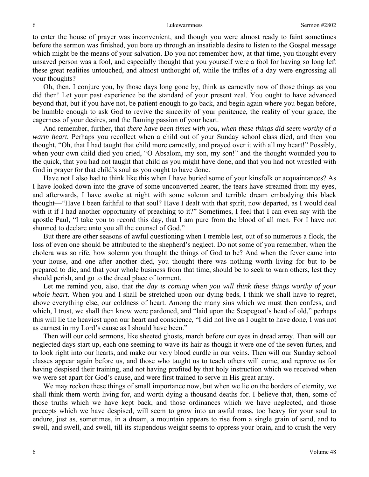to enter the house of prayer was inconvenient, and though you were almost ready to faint sometimes before the sermon was finished, you bore up through an insatiable desire to listen to the Gospel message which might be the means of your salvation. Do you not remember how, at that time, you thought every unsaved person was a fool, and especially thought that you yourself were a fool for having so long left these great realities untouched, and almost unthought of, while the trifles of a day were engrossing all your thoughts?

Oh, then, I conjure you, by those days long gone by, think as earnestly now of those things as you did then! Let your past experience be the standard of your present zeal. You ought to have advanced beyond that, but if you have not, be patient enough to go back, and begin again where you began before, be humble enough to ask God to revive the sincerity of your penitence, the reality of your grace, the eagerness of your desires, and the flaming passion of your heart.

And remember, further, that *there have been times with you, when these things did seem worthy of a warm heart.* Perhaps you recollect when a child out of your Sunday school class died, and then you thought, "Oh, that I had taught that child more earnestly, and prayed over it with all my heart!" Possibly, when your own child died you cried, "O Absalom, my son, my son!" and the thought wounded you to the quick, that you had not taught that child as you might have done, and that you had not wrestled with God in prayer for that child's soul as you ought to have done.

Have not I also had to think like this when I have buried some of your kinsfolk or acquaintances? As I have looked down into the grave of some unconverted hearer, the tears have streamed from my eyes, and afterwards, I have awoke at night with some solemn and terrible dream embodying this black thought—"Have I been faithful to that soul? Have I dealt with that spirit, now departed, as I would deal with it if I had another opportunity of preaching to it?" Sometimes, I feel that I can even say with the apostle Paul, "I take you to record this day, that I am pure from the blood of all men. For I have not shunned to declare unto you all the counsel of God."

But there are other seasons of awful questioning when I tremble lest, out of so numerous a flock, the loss of even one should be attributed to the shepherd's neglect. Do not some of you remember, when the cholera was so rife, how solemn you thought the things of God to be? And when the fever came into your house, and one after another died, you thought there was nothing worth living for but to be prepared to die, and that your whole business from that time, should be to seek to warn others, lest they should perish, and go to the dread place of torment.

Let me remind you, also, that *the day is coming when you will think these things worthy of your whole heart.* When you and I shall be stretched upon our dying beds, I think we shall have to regret, above everything else, our coldness of heart. Among the many sins which we must then confess, and which, I trust, we shall then know were pardoned, and "laid upon the Scapegoat's head of old," perhaps this will lie the heaviest upon our heart and conscience, "I did not live as I ought to have done, I was not as earnest in my Lord's cause as I should have been."

Then will our cold sermons, like sheeted ghosts, march before our eyes in dread array. Then will our neglected days start up, each one seeming to wave its hair as though it were one of the seven furies, and to look right into our hearts, and make our very blood curdle in our veins. Then will our Sunday school classes appear again before us, and those who taught us to teach others will come, and reprove us for having despised their training, and not having profited by that holy instruction which we received when we were set apart for God's cause, and were first trained to serve in His great army.

We may reckon these things of small importance now, but when we lie on the borders of eternity, we shall think them worth living for, and worth dying a thousand deaths for. I believe that, then, some of those truths which we have kept back, and those ordinances which we have neglected, and those precepts which we have despised, will seem to grow into an awful mass, too heavy for your soul to endure, just as, sometimes, in a dream, a mountain appears to rise from a single grain of sand, and to swell, and swell, and swell, till its stupendous weight seems to oppress your brain, and to crush the very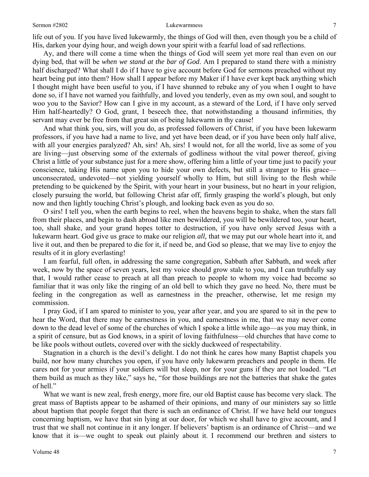life out of you. If you have lived lukewarmly, the things of God will then, even though you be a child of His, darken your dying hour, and weigh down your spirit with a fearful load of sad reflections.

Ay, and there will come a time when the things of God will seem yet more real than even on our dying bed, that will be *when we stand at the bar of God*. Am I prepared to stand there with a ministry half discharged? What shall I do if I have to give account before God for sermons preached without my heart being put into them? How shall I appear before my Maker if I have ever kept back anything which I thought might have been useful to you, if I have shunned to rebuke any of you when I ought to have done so, if I have not warned you faithfully, and loved you tenderly, even as my own soul, and sought to woo you to the Savior? How can I give in my account, as a steward of the Lord, if I have only served Him half-heartedly? O God, grant, I beseech thee, that notwithstanding a thousand infirmities, thy servant may ever be free from that great sin of being lukewarm in thy cause!

And what think you, sirs, will you do, as professed followers of Christ, if you have been lukewarm professors, if you have had a name to live, and yet have been dead, or if you have been only half alive, with all your energies paralyzed? Ah, sirs! Ah, sirs! I would not, for all the world, live as some of you are living—just observing some of the externals of godliness without the vital power thereof, giving Christ a little of your substance just for a mere show, offering him a little of your time just to pacify your conscience, taking His name upon you to hide your own defects, but still a stranger to His grace unconsecrated, undevoted—not yielding yourself wholly to Him, but still living to the flesh while pretending to be quickened by the Spirit, with your heart in your business, but no heart in your religion, closely pursuing the world, but following Christ afar off, firmly grasping the world's plough, but only now and then lightly touching Christ's plough, and looking back even as you do so.

O sirs! I tell you, when the earth begins to reel, when the heavens begin to shake, when the stars fall from their places, and begin to dash abroad like men bewildered, you will be bewildered too, your heart, too, shall shake, and your grand hopes totter to destruction, if you have only served Jesus with a lukewarm heart. God give us grace to make our religion *all,* that we may put our whole heart into it, and live it out, and then be prepared to die for it, if need be, and God so please, that we may live to enjoy the results of it in glory everlasting!

I am fearful, full often, in addressing the same congregation, Sabbath after Sabbath, and week after week, now by the space of seven years, lest my voice should grow stale to you, and I can truthfully say that, I would rather cease to preach at all than preach to people to whom my voice had become so familiar that it was only like the ringing of an old bell to which they gave no heed. No, there must be feeling in the congregation as well as earnestness in the preacher, otherwise, let me resign my commission.

I pray God, if I am spared to minister to you, year after year, and you are spared to sit in the pew to hear the Word, that there may be earnestness in you, and earnestness in me, that we may never come down to the dead level of some of the churches of which I spoke a little while ago—as you may think, in a spirit of censure, but as God knows, in a spirit of loving faithfulness—old churches that have come to be like pools without outlets, covered over with the sickly duckweed of respectability.

Stagnation in a church is the devil's delight. I do not think he cares how many Baptist chapels you build, nor how many churches you open, if you have only lukewarm preachers and people in them. He cares not for your armies if your soldiers will but sleep, nor for your guns if they are not loaded. "Let them build as much as they like," says he, "for those buildings are not the batteries that shake the gates of hell."

What we want is new zeal, fresh energy, more fire, our old Baptist cause has become very slack. The great mass of Baptists appear to be ashamed of their opinions, and many of our ministers say so little about baptism that people forget that there is such an ordinance of Christ. If we have held our tongues concerning baptism, we have that sin lying at our door, for which we shall have to give account, and I trust that we shall not continue in it any longer. If believers' baptism is an ordinance of Christ—and we know that it is—we ought to speak out plainly about it. I recommend our brethren and sisters to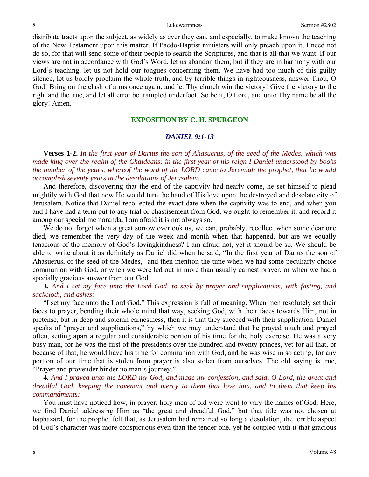distribute tracts upon the subject, as widely as ever they can, and especially, to make known the teaching of the New Testament upon this matter. If Paedo-Baptist ministers will only preach upon it, I need not do so, for that will send some of their people to search the Scriptures, and that is all that we want. If our views are not in accordance with God's Word, let us abandon them, but if they are in harmony with our Lord's teaching, let us not hold our tongues concerning them. We have had too much of this guilty silence, let us boldly proclaim the whole truth, and by terrible things in righteousness, answer Thou, O God! Bring on the clash of arms once again, and let Thy church win the victory! Give the victory to the right and the true, and let all error be trampled underfoot! So be it, O Lord, and unto Thy name be all the glory! Amen.

### **EXPOSITION BY C. H. SPURGEON**

#### *DANIEL 9:1-13*

**Verses 1-2.** *In the first year of Darius the son of Ahasuerus, of the seed of the Medes, which was made king over the realm of the Chaldeans; in the first year of his reign I Daniel understood by books the number of the years, whereof the word of the LORD came to Jeremiah the prophet, that he would accomplish seventy years in the desolations of Jerusalem.* 

And therefore, discovering that the end of the captivity had nearly come, he set himself to plead mightily with God that now He would turn the hand of His love upon the destroyed and desolate city of Jerusalem. Notice that Daniel recollected the exact date when the captivity was to end, and when you and I have had a term put to any trial or chastisement from God, we ought to remember it, and record it among our special memoranda. I am afraid it is not always so.

We do not forget when a great sorrow overtook us, we can, probably, recollect when some dear one died, we remember the very day of the week and month when that happened, but are we equally tenacious of the memory of God's lovingkindness? I am afraid not, yet it should be so. We should be able to write about it as definitely as Daniel did when he said, "In the first year of Darius the son of Ahasuerus, of the seed of the Medes," and then mention the time when we had some peculiarly choice communion with God, or when we were led out in more than usually earnest prayer, or when we had a specially gracious answer from our God.

**3.** *And I set my face unto the Lord God, to seek by prayer and supplications, with fasting, and sackcloth, and ashes:* 

"I set my face unto the Lord God." This expression is full of meaning. When men resolutely set their faces to prayer, bending their whole mind that way, seeking God, with their faces towards Him, not in pretense, but in deep and solemn earnestness, then it is that they succeed with their supplication. Daniel speaks of "prayer and supplications," by which we may understand that he prayed much and prayed often, setting apart a regular and considerable portion of his time for the holy exercise. He was a very busy man, for he was the first of the presidents over the hundred and twenty princes, yet for all that, or because of that, he would have his time for communion with God, and he was wise in so acting, for any portion of our time that is stolen from prayer is also stolen from ourselves. The old saying is true, "Prayer and provender hinder no man's journey."

**4.** *And I prayed unto the LORD my God, and made my confession, and said, O Lord, the great and dreadful God, keeping the covenant and mercy to them that love him, and to them that keep his commandments;* 

You must have noticed how, in prayer, holy men of old were wont to vary the names of God. Here, we find Daniel addressing Him as "the great and dreadful God," but that title was not chosen at haphazard, for the prophet felt that, as Jerusalem had remained so long a desolation, the terrible aspect of God's character was more conspicuous even than the tender one, yet he coupled with it that gracious